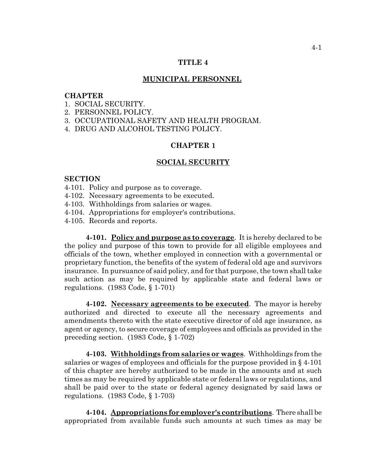## **TITLE 4**

### **MUNICIPAL PERSONNEL**

### **CHAPTER**

- 1. SOCIAL SECURITY.
- 2. PERSONNEL POLICY.
- 3. OCCUPATIONAL SAFETY AND HEALTH PROGRAM.
- 4. DRUG AND ALCOHOL TESTING POLICY.

# **CHAPTER 1**

#### **SOCIAL SECURITY**

### **SECTION**

- 4-101. Policy and purpose as to coverage.
- 4-102. Necessary agreements to be executed.
- 4-103. Withholdings from salaries or wages.
- 4-104. Appropriations for employer's contributions.
- 4-105. Records and reports.

**4-101. Policy and purpose as to coverage**. It is hereby declared to be the policy and purpose of this town to provide for all eligible employees and officials of the town, whether employed in connection with a governmental or proprietary function, the benefits of the system of federal old age and survivors insurance. In pursuance of said policy, and for that purpose, the town shall take such action as may be required by applicable state and federal laws or regulations. (1983 Code, § 1-701)

**4-102. Necessary agreements to be executed**. The mayor is hereby authorized and directed to execute all the necessary agreements and amendments thereto with the state executive director of old age insurance, as agent or agency, to secure coverage of employees and officials as provided in the preceding section. (1983 Code, § 1-702)

**4-103. Withholdings from salaries or wages**. Withholdings from the salaries or wages of employees and officials for the purpose provided in § 4-101 of this chapter are hereby authorized to be made in the amounts and at such times as may be required by applicable state or federal laws or regulations, and shall be paid over to the state or federal agency designated by said laws or regulations. (1983 Code, § 1-703)

**4-104. Appropriations for employer's contributions**. There shall be appropriated from available funds such amounts at such times as may be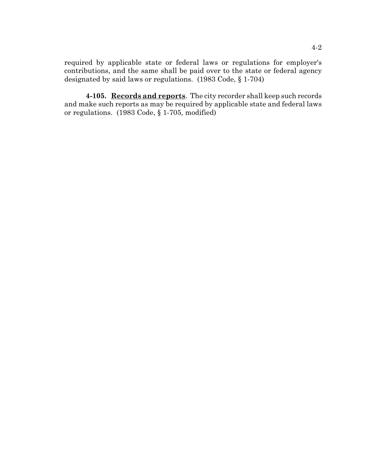required by applicable state or federal laws or regulations for employer's contributions, and the same shall be paid over to the state or federal agency designated by said laws or regulations. (1983 Code, § 1-704)

**4-105. Records and reports**. The city recorder shall keep such records and make such reports as may be required by applicable state and federal laws or regulations. (1983 Code, § 1-705, modified)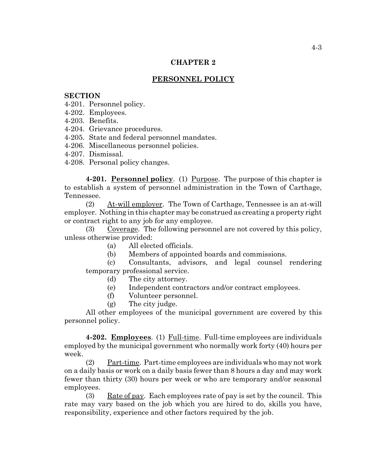## **CHAPTER 2**

# **PERSONNEL POLICY**

### **SECTION**

4-201. Personnel policy.

- 4-202. Employees.
- 4-203. Benefits.
- 4-204. Grievance procedures.
- 4-205. State and federal personnel mandates.
- 4-206. Miscellaneous personnel policies.
- 4-207. Dismissal.
- 4-208. Personal policy changes.

**4-201. Personnel policy**. (1) Purpose. The purpose of this chapter is to establish a system of personnel administration in the Town of Carthage, Tennessee.

(2) At-will employer. The Town of Carthage, Tennessee is an at-will employer. Nothing in this chapter may be construed as creating a property right or contract right to any job for any employee.

(3) Coverage. The following personnel are not covered by this policy, unless otherwise provided:

- (a) All elected officials.
- (b) Members of appointed boards and commissions.

(c) Consultants, advisors, and legal counsel rendering temporary professional service.

- (d) The city attorney.
- (e) Independent contractors and/or contract employees.
- (f) Volunteer personnel.
- (g) The city judge.

All other employees of the municipal government are covered by this personnel policy.

**4-202. Employees**. (1) Full-time. Full-time employees are individuals employed by the municipal government who normally work forty (40) hours per week.

(2) Part-time. Part-time employees are individuals who may not work on a daily basis or work on a daily basis fewer than 8 hours a day and may work fewer than thirty (30) hours per week or who are temporary and/or seasonal employees.

(3) Rate of pay. Each employees rate of pay is set by the council. This rate may vary based on the job which you are hired to do, skills you have, responsibility, experience and other factors required by the job.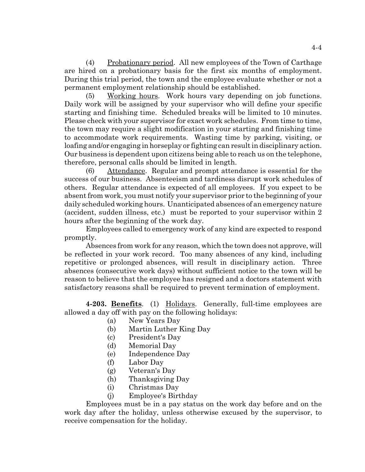(4) Probationary period. All new employees of the Town of Carthage are hired on a probationary basis for the first six months of employment. During this trial period, the town and the employee evaluate whether or not a permanent employment relationship should be established.

(5) Working hours. Work hours vary depending on job functions. Daily work will be assigned by your supervisor who will define your specific starting and finishing time. Scheduled breaks will be limited to 10 minutes. Please check with your supervisor for exact work schedules. From time to time, the town may require a slight modification in your starting and finishing time to accommodate work requirements. Wasting time by parking, visiting, or loafing and/or engaging in horseplay or fighting can result in disciplinary action. Our business is dependent upon citizens being able to reach us on the telephone, therefore, personal calls should be limited in length.

(6) Attendance. Regular and prompt attendance is essential for the success of our business. Absenteeism and tardiness disrupt work schedules of others. Regular attendance is expected of all employees. If you expect to be absent from work, you must notify your supervisor prior to the beginning of your daily scheduled working hours. Unanticipated absences of an emergency nature (accident, sudden illness, etc.) must be reported to your supervisor within 2 hours after the beginning of the work day.

Employees called to emergency work of any kind are expected to respond promptly.

Absences from work for any reason, which the town does not approve, will be reflected in your work record. Too many absences of any kind, including repetitive or prolonged absences, will result in disciplinary action. Three absences (consecutive work days) without sufficient notice to the town will be reason to believe that the employee has resigned and a doctors statement with satisfactory reasons shall be required to prevent termination of employment.

**4-203. Benefits**. (1) Holidays. Generally, full-time employees are allowed a day off with pay on the following holidays:

- (a) New Years Day
- (b) Martin Luther King Day
- (c) President's Day
- (d) Memorial Day
- (e) Independence Day
- (f) Labor Day
- (g) Veteran's Day
- (h) Thanksgiving Day
- (i) Christmas Day
- (j) Employee's Birthday

Employees must be in a pay status on the work day before and on the work day after the holiday, unless otherwise excused by the supervisor, to receive compensation for the holiday.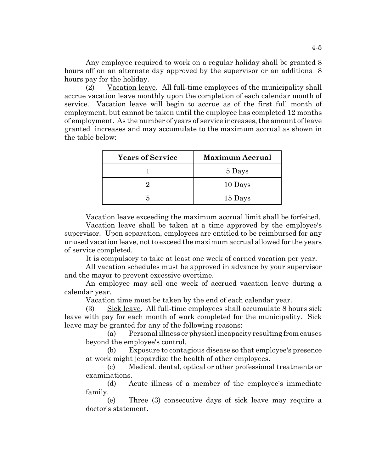Any employee required to work on a regular holiday shall be granted 8 hours off on an alternate day approved by the supervisor or an additional 8 hours pay for the holiday.

(2) Vacation leave. All full-time employees of the municipality shall accrue vacation leave monthly upon the completion of each calendar month of service. Vacation leave will begin to accrue as of the first full month of employment, but cannot be taken until the employee has completed 12 months of employment. As the number of years of service increases, the amount of leave granted increases and may accumulate to the maximum accrual as shown in the table below:

| <b>Years of Service</b> | <b>Maximum Accrual</b> |
|-------------------------|------------------------|
|                         | 5 Days                 |
|                         | 10 Days                |
|                         | 15 Days                |

Vacation leave exceeding the maximum accrual limit shall be forfeited.

Vacation leave shall be taken at a time approved by the employee's supervisor. Upon separation, employees are entitled to be reimbursed for any unused vacation leave, not to exceed the maximum accrual allowed for the years of service completed.

It is compulsory to take at least one week of earned vacation per year.

All vacation schedules must be approved in advance by your supervisor and the mayor to prevent excessive overtime.

An employee may sell one week of accrued vacation leave during a calendar year.

Vacation time must be taken by the end of each calendar year.

(3) Sick leave. All full-time employees shall accumulate 8 hours sick leave with pay for each month of work completed for the municipality. Sick leave may be granted for any of the following reasons:

(a) Personal illness or physical incapacity resulting from causes beyond the employee's control.

(b) Exposure to contagious disease so that employee's presence at work might jeopardize the health of other employees.

(c) Medical, dental, optical or other professional treatments or examinations.

(d) Acute illness of a member of the employee's immediate family.

(e) Three (3) consecutive days of sick leave may require a doctor's statement.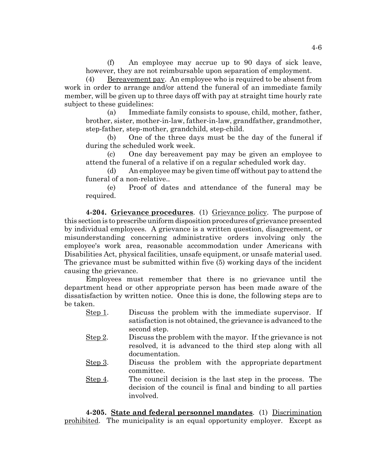(f) An employee may accrue up to 90 days of sick leave, however, they are not reimbursable upon separation of employment.

(4) Bereavement pay. An employee who is required to be absent from work in order to arrange and/or attend the funeral of an immediate family member, will be given up to three days off with pay at straight time hourly rate subject to these guidelines:

(a) Immediate family consists to spouse, child, mother, father, brother, sister, mother-in-law, father-in-law, grandfather, grandmother, step-father, step-mother, grandchild, step-child.

(b) One of the three days must be the day of the funeral if during the scheduled work week.

(c) One day bereavement pay may be given an employee to attend the funeral of a relative if on a regular scheduled work day.

(d) An employee may be given time off without pay to attend the funeral of a non-relative..

(e) Proof of dates and attendance of the funeral may be required.

**4-204. Grievance procedures**. (1) Grievance policy. The purpose of this section is to prescribe uniform disposition procedures of grievance presented by individual employees. A grievance is a written question, disagreement, or misunderstanding concerning administrative orders involving only the employee's work area, reasonable accommodation under Americans with Disabilities Act, physical facilities, unsafe equipment, or unsafe material used. The grievance must be submitted within five (5) working days of the incident causing the grievance.

Employees must remember that there is no grievance until the department head or other appropriate person has been made aware of the dissatisfaction by written notice. Once this is done, the following steps are to be taken.

| Step 1. | Discuss the problem with the immediate supervisor. If                          |
|---------|--------------------------------------------------------------------------------|
|         | satisfaction is not obtained, the grievance is advanced to the<br>second step. |
|         |                                                                                |
| Step 2. | Discuss the problem with the mayor. If the grievance is not                    |
|         | resolved, it is advanced to the third step along with all                      |
|         | documentation.                                                                 |
| Step 3. | Discuss the problem with the appropriate department                            |
|         | committee.                                                                     |
| Step 4. | The council decision is the last step in the process. The                      |
|         | decision of the council is final and binding to all parties                    |

**4-205. State and federal personnel mandates**. (1) Discrimination prohibited. The municipality is an equal opportunity employer. Except as

involved.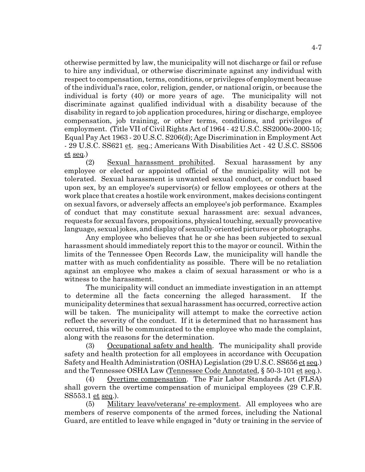otherwise permitted by law, the municipality will not discharge or fail or refuse to hire any individual, or otherwise discriminate against any individual with respect to compensation, terms, conditions, or privileges of employment because of the individual's race, color, religion, gender, or national origin, or because the individual is forty (40) or more years of age. The municipality will not discriminate against qualified individual with a disability because of the disability in regard to job application procedures, hiring or discharge, employee compensation, job training, or other terms, conditions, and privileges of employment. (Title VII of Civil Rights Act of 1964 - 42 U.S.C. SS2000e-2000-15; Equal Pay Act 1963 - 20 U.S.C. S206(d); Age Discrimination in Employment Act - 29 U.S.C. SS621 et. seq.; Americans With Disabilities Act - 42 U.S.C. SS506  $et$  seq.)

(2) Sexual harassment prohibited. Sexual harassment by any employee or elected or appointed official of the municipality will not be tolerated. Sexual harassment is unwanted sexual conduct, or conduct based upon sex, by an employee's supervisor(s) or fellow employees or others at the work place that creates a hostile work environment, makes decisions contingent on sexual favors, or adversely affects an employee's job performance. Examples of conduct that may constitute sexual harassment are: sexual advances, requests for sexual favors, propositions, physical touching, sexually provocative language, sexual jokes, and display of sexually-oriented pictures or photographs.

Any employee who believes that he or she has been subjected to sexual harassment should immediately report this to the mayor or council. Within the limits of the Tennessee Open Records Law, the municipality will handle the matter with as much confidentiality as possible. There will be no retaliation against an employee who makes a claim of sexual harassment or who is a witness to the harassment.

The municipality will conduct an immediate investigation in an attempt to determine all the facts concerning the alleged harassment. If the municipality determines that sexual harassment has occurred, corrective action will be taken. The municipality will attempt to make the corrective action reflect the severity of the conduct. If it is determined that no harassment has occurred, this will be communicated to the employee who made the complaint, along with the reasons for the determination.

(3) Occupational safety and health. The municipality shall provide safety and health protection for all employees in accordance with Occupation Safety and Health Administration (OSHA) Legislation (29 U.S.C. SS656 et seq.) and the Tennessee OSHA Law (Tennessee Code Annotated, § 50-3-101 et seq.).

(4) Overtime compensation. The Fair Labor Standards Act (FLSA) shall govern the overtime compensation of municipal employees (29 C.F.R. SS553.1 et seq.).

(5) Military leave/veterans' re-employment. All employees who are members of reserve components of the armed forces, including the National Guard, are entitled to leave while engaged in "duty or training in the service of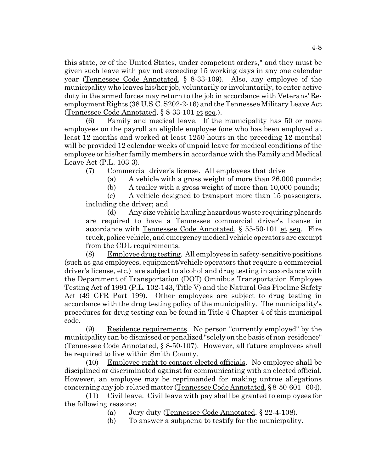this state, or of the United States, under competent orders," and they must be given such leave with pay not exceeding 15 working days in any one calendar year (Tennessee Code Annotated, § 8-33-109). Also, any employee of the municipality who leaves his/her job, voluntarily or involuntarily, to enter active duty in the armed forces may return to the job in accordance with Veterans' Reemployment Rights (38 U.S.C. S202-2-16) and the Tennessee Military Leave Act (Tennessee Code Annotated, § 8-33-101 et seq.).

(6) Family and medical leave. If the municipality has 50 or more employees on the payroll an eligible employee (one who has been employed at least 12 months and worked at least 1250 hours in the preceding 12 months) will be provided 12 calendar weeks of unpaid leave for medical conditions of the employee or his/her family members in accordance with the Family and Medical Leave Act (P.L. 103-3).

(7) Commercial driver's license. All employees that drive

(a) A vehicle with a gross weight of more than 26,000 pounds;

(b) A trailer with a gross weight of more than 10,000 pounds;

(c) A vehicle designed to transport more than 15 passengers, including the driver; and

(d) Any size vehicle hauling hazardous waste requiring placards are required to have a Tennessee commercial driver's license in accordance with Tennessee Code Annotated, § 55-50-101 et seq. Fire truck, police vehicle, and emergency medical vehicle operators are exempt from the CDL requirements.

(8) Employee drug testing. All employees in safety-sensitive positions (such as gas employees, equipment/vehicle operators that require a commercial driver's license, etc.) are subject to alcohol and drug testing in accordance with the Department of Transportation (DOT) Omnibus Transportation Employee Testing Act of 1991 (P.L. 102-143, Title V) and the Natural Gas Pipeline Safety Act (49 CFR Part 199). Other employees are subject to drug testing in accordance with the drug testing policy of the municipality. The municipality's procedures for drug testing can be found in Title 4 Chapter 4 of this municipal code.

(9) Residence requirements. No person "currently employed" by the municipality can be dismissed or penalized "solely on the basis of non-residence" (Tennessee Code Annotated, § 8-50-107). However, all future employees shall be required to live within Smith County.

(10) Employee right to contact elected officials. No employee shall be disciplined or discriminated against for communicating with an elected official. However, an employee may be reprimanded for making untrue allegations concerning any job-related matter (Tennessee Code Annotated, § 8-50-601--604).

 $(11)$  Civil leave. Civil leave with pay shall be granted to employees for the following reasons:

(a) Jury duty (Tennessee Code Annotated, § 22-4-108).

(b) To answer a subpoena to testify for the municipality.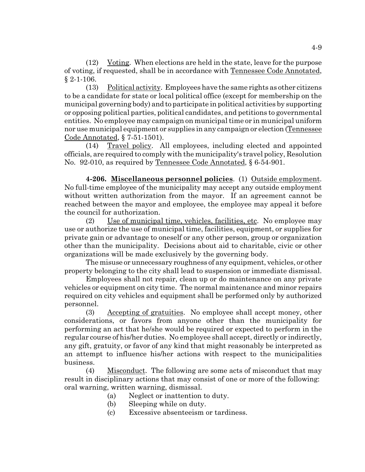(12) Voting. When elections are held in the state, leave for the purpose of voting, if requested, shall be in accordance with Tennessee Code Annotated, § 2-1-106.

(13) Political activity. Employees have the same rights as other citizens to be a candidate for state or local political office (except for membership on the municipal governing body) and to participate in political activities by supporting or opposing political parties, political candidates, and petitions to governmental entities. No employee may campaign on municipal time or in municipal uniform nor use municipal equipment or supplies in any campaign or election (Tennessee Code Annotated, § 7-51-1501).

(14) Travel policy. All employees, including elected and appointed officials, are required to comply with the municipality's travel policy, Resolution No. 92-010, as required by Tennessee Code Annotated, § 6-54-901.

**4-206. Miscellaneous personnel policies**. (1) Outside employment. No full-time employee of the municipality may accept any outside employment without written authorization from the mayor. If an agreement cannot be reached between the mayor and employee, the employee may appeal it before the council for authorization.

(2) Use of municipal time, vehicles, facilities, etc. No employee may use or authorize the use of municipal time, facilities, equipment, or supplies for private gain or advantage to oneself or any other person, group or organization other than the municipality. Decisions about aid to charitable, civic or other organizations will be made exclusively by the governing body.

The misuse or unnecessary roughness of any equipment, vehicles, or other property belonging to the city shall lead to suspension or immediate dismissal.

Employees shall not repair, clean up or do maintenance on any private vehicles or equipment on city time. The normal maintenance and minor repairs required on city vehicles and equipment shall be performed only by authorized personnel.

(3) Accepting of gratuities. No employee shall accept money, other considerations, or favors from anyone other than the municipality for performing an act that he/she would be required or expected to perform in the regular course of his/her duties. No employee shall accept, directly or indirectly, any gift, gratuity, or favor of any kind that might reasonably be interpreted as an attempt to influence his/her actions with respect to the municipalities business.

(4) Misconduct. The following are some acts of misconduct that may result in disciplinary actions that may consist of one or more of the following: oral warning, written warning, dismissal.

- (a) Neglect or inattention to duty.
- (b) Sleeping while on duty.
- (c) Excessive absenteeism or tardiness.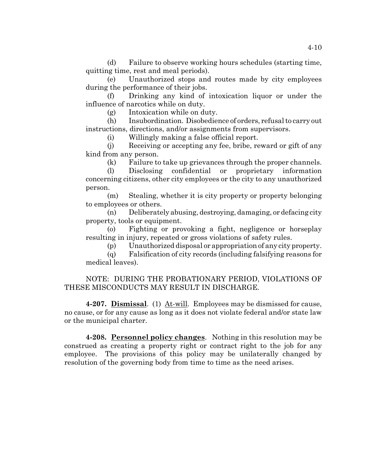(d) Failure to observe working hours schedules (starting time, quitting time, rest and meal periods).

(e) Unauthorized stops and routes made by city employees during the performance of their jobs.

(f) Drinking any kind of intoxication liquor or under the influence of narcotics while on duty.

(g) Intoxication while on duty.

(h) Insubordination. Disobedience of orders, refusal to carry out instructions, directions, and/or assignments from supervisors.

(i) Willingly making a false official report.

(j) Receiving or accepting any fee, bribe, reward or gift of any kind from any person.

(k) Failure to take up grievances through the proper channels.

(l) Disclosing confidential or proprietary information concerning citizens, other city employees or the city to any unauthorized person.

(m) Stealing, whether it is city property or property belonging to employees or others.

(n) Deliberately abusing, destroying, damaging, or defacing city property, tools or equipment.

(o) Fighting or provoking a fight, negligence or horseplay resulting in injury, repeated or gross violations of safety rules.

(p) Unauthorized disposal or appropriation of any city property.

(q) Falsification of city records (including falsifying reasons for medical leaves).

# NOTE: DURING THE PROBATIONARY PERIOD, VIOLATIONS OF THESE MISCONDUCTS MAY RESULT IN DISCHARGE.

**4-207. Dismissal**. (1) At-will. Employees may be dismissed for cause, no cause, or for any cause as long as it does not violate federal and/or state law or the municipal charter.

**4-208. Personnel policy changes**. Nothing in this resolution may be construed as creating a property right or contract right to the job for any employee. The provisions of this policy may be unilaterally changed by resolution of the governing body from time to time as the need arises.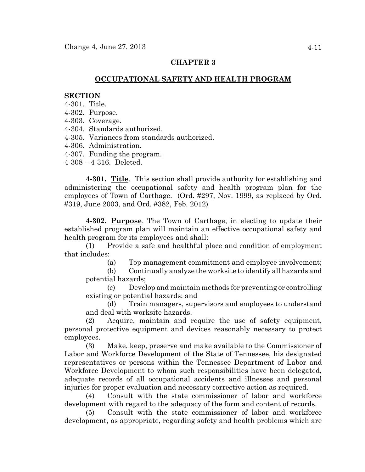# **CHAPTER 3**

# **OCCUPATIONAL SAFETY AND HEALTH PROGRAM**

### **SECTION**

- 4-301. Title.
- 4-302. Purpose.
- 4-303. Coverage.
- 4-304. Standards authorized.
- 4-305. Variances from standards authorized.
- 4-306. Administration.
- 4-307. Funding the program.
- 4-308 4-316. Deleted.

**4-301. Title**. This section shall provide authority for establishing and administering the occupational safety and health program plan for the employees of Town of Carthage. (Ord. #297, Nov. 1999, as replaced by Ord. #319, June 2003, and Ord. #382, Feb. 2012)

**4-302. Purpose**. The Town of Carthage, in electing to update their established program plan will maintain an effective occupational safety and health program for its employees and shall:

(1) Provide a safe and healthful place and condition of employment that includes:

(a) Top management commitment and employee involvement;

(b) Continually analyze the worksite to identify all hazards and potential hazards;

(c) Develop and maintain methods for preventing or controlling existing or potential hazards; and

(d) Train managers, supervisors and employees to understand and deal with worksite hazards.

(2) Acquire, maintain and require the use of safety equipment, personal protective equipment and devices reasonably necessary to protect employees.

(3) Make, keep, preserve and make available to the Commissioner of Labor and Workforce Development of the State of Tennessee, his designated representatives or persons within the Tennessee Department of Labor and Workforce Development to whom such responsibilities have been delegated, adequate records of all occupational accidents and illnesses and personal injuries for proper evaluation and necessary corrective action as required.

(4) Consult with the state commissioner of labor and workforce development with regard to the adequacy of the form and content of records.

(5) Consult with the state commissioner of labor and workforce development, as appropriate, regarding safety and health problems which are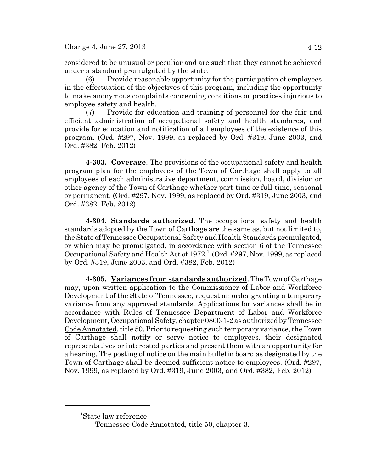considered to be unusual or peculiar and are such that they cannot be achieved under a standard promulgated by the state.

(6) Provide reasonable opportunity for the participation of employees in the effectuation of the objectives of this program, including the opportunity to make anonymous complaints concerning conditions or practices injurious to employee safety and health.

(7) Provide for education and training of personnel for the fair and efficient administration of occupational safety and health standards, and provide for education and notification of all employees of the existence of this program. (Ord. #297, Nov. 1999, as replaced by Ord. #319, June 2003, and Ord. #382, Feb. 2012)

**4-303. Coverage**. The provisions of the occupational safety and health program plan for the employees of the Town of Carthage shall apply to all employees of each administrative department, commission, board, division or other agency of the Town of Carthage whether part-time or full-time, seasonal or permanent. (Ord. #297, Nov. 1999, as replaced by Ord. #319, June 2003, and Ord. #382, Feb. 2012)

**4-304. Standards authorized**. The occupational safety and health standards adopted by the Town of Carthage are the same as, but not limited to, the State of Tennessee Occupational Safety and Health Standards promulgated, or which may be promulgated, in accordance with section 6 of the Tennessee Occupational Safety and Health Act of 1972.<sup>1</sup> (Ord. #297, Nov. 1999, as replaced by Ord. #319, June 2003, and Ord. #382, Feb. 2012)

**4-305. Variances from standards authorized**. The Town of Carthage may, upon written application to the Commissioner of Labor and Workforce Development of the State of Tennessee, request an order granting a temporary variance from any approved standards. Applications for variances shall be in accordance with Rules of Tennessee Department of Labor and Workforce Development, Occupational Safety, chapter 0800-1-2 as authorized by Tennessee Code Annotated, title 50. Prior to requesting such temporary variance, the Town of Carthage shall notify or serve notice to employees, their designated representatives or interested parties and present them with an opportunity for a hearing. The posting of notice on the main bulletin board as designated by the Town of Carthage shall be deemed sufficient notice to employees. (Ord. #297, Nov. 1999, as replaced by Ord. #319, June 2003, and Ord. #382, Feb. 2012)

<sup>1</sup> State law reference

Tennessee Code Annotated, title 50, chapter 3.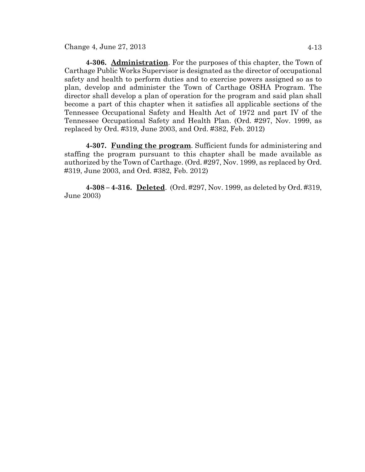Change 4, June 27, 2013 4-13

**4-306. Administration**. For the purposes of this chapter, the Town of Carthage Public Works Supervisor is designated as the director of occupational safety and health to perform duties and to exercise powers assigned so as to plan, develop and administer the Town of Carthage OSHA Program. The director shall develop a plan of operation for the program and said plan shall become a part of this chapter when it satisfies all applicable sections of the Tennessee Occupational Safety and Health Act of 1972 and part IV of the Tennessee Occupational Safety and Health Plan. (Ord. #297, Nov. 1999, as replaced by Ord. #319, June 2003, and Ord. #382, Feb. 2012)

**4-307. Funding the program**. Sufficient funds for administering and staffing the program pursuant to this chapter shall be made available as authorized by the Town of Carthage. (Ord. #297, Nov. 1999, as replaced by Ord. #319, June 2003, and Ord. #382, Feb. 2012)

**4-308 – 4-316. Deleted**. (Ord. #297, Nov. 1999, as deleted by Ord. #319, June 2003)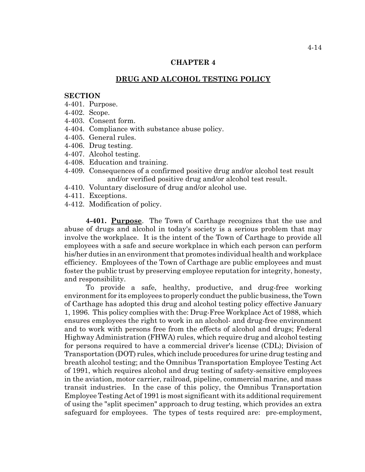## **CHAPTER 4**

## **DRUG AND ALCOHOL TESTING POLICY**

### **SECTION**

- 4-401. Purpose.
- 4-402. Scope.
- 4-403. Consent form.
- 4-404. Compliance with substance abuse policy.
- 4-405. General rules.
- 4-406. Drug testing.
- 4-407. Alcohol testing.
- 4-408. Education and training.
- 4-409. Consequences of a confirmed positive drug and/or alcohol test result and/or verified positive drug and/or alcohol test result.
- 4-410. Voluntary disclosure of drug and/or alcohol use.
- 4-411. Exceptions.
- 4-412. Modification of policy.

**4-401. Purpose**. The Town of Carthage recognizes that the use and abuse of drugs and alcohol in today's society is a serious problem that may involve the workplace. It is the intent of the Town of Carthage to provide all employees with a safe and secure workplace in which each person can perform his/her duties in an environment that promotes individual health and workplace efficiency. Employees of the Town of Carthage are public employees and must foster the public trust by preserving employee reputation for integrity, honesty, and responsibility.

To provide a safe, healthy, productive, and drug-free working environment for its employees to properly conduct the public business, the Town of Carthage has adopted this drug and alcohol testing policy effective January 1, 1996. This policy complies with the: Drug-Free Workplace Act of 1988, which ensures employees the right to work in an alcohol- and drug-free environment and to work with persons free from the effects of alcohol and drugs; Federal Highway Administration (FHWA) rules, which require drug and alcohol testing for persons required to have a commercial driver's license (CDL); Division of Transportation (DOT) rules, which include procedures for urine drug testing and breath alcohol testing; and the Omnibus Transportation Employee Testing Act of 1991, which requires alcohol and drug testing of safety-sensitive employees in the aviation, motor carrier, railroad, pipeline, commercial marine, and mass transit industries. In the case of this policy, the Omnibus Transportation Employee Testing Act of 1991 is most significant with its additional requirement of using the "split specimen" approach to drug testing, which provides an extra safeguard for employees. The types of tests required are: pre-employment,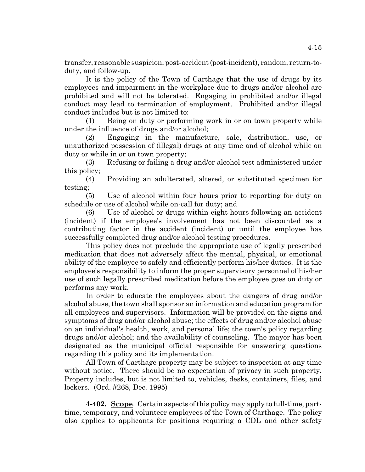transfer, reasonable suspicion, post-accident (post-incident), random, return-toduty, and follow-up.

It is the policy of the Town of Carthage that the use of drugs by its employees and impairment in the workplace due to drugs and/or alcohol are prohibited and will not be tolerated. Engaging in prohibited and/or illegal conduct may lead to termination of employment. Prohibited and/or illegal conduct includes but is not limited to:

(1) Being on duty or performing work in or on town property while under the influence of drugs and/or alcohol;

(2) Engaging in the manufacture, sale, distribution, use, or unauthorized possession of (illegal) drugs at any time and of alcohol while on duty or while in or on town property;

(3) Refusing or failing a drug and/or alcohol test administered under this policy;

(4) Providing an adulterated, altered, or substituted specimen for testing;

(5) Use of alcohol within four hours prior to reporting for duty on schedule or use of alcohol while on-call for duty; and

(6) Use of alcohol or drugs within eight hours following an accident (incident) if the employee's involvement has not been discounted as a contributing factor in the accident (incident) or until the employee has successfully completed drug and/or alcohol testing procedures.

This policy does not preclude the appropriate use of legally prescribed medication that does not adversely affect the mental, physical, or emotional ability of the employee to safely and efficiently perform his/her duties. It is the employee's responsibility to inform the proper supervisory personnel of his/her use of such legally prescribed medication before the employee goes on duty or performs any work.

In order to educate the employees about the dangers of drug and/or alcohol abuse, the town shall sponsor an information and education program for all employees and supervisors. Information will be provided on the signs and symptoms of drug and/or alcohol abuse; the effects of drug and/or alcohol abuse on an individual's health, work, and personal life; the town's policy regarding drugs and/or alcohol; and the availability of counseling. The mayor has been designated as the municipal official responsible for answering questions regarding this policy and its implementation.

All Town of Carthage property may be subject to inspection at any time without notice. There should be no expectation of privacy in such property. Property includes, but is not limited to, vehicles, desks, containers, files, and lockers. (Ord. #268, Dec. 1995)

**4-402. Scope**. Certain aspects of this policy may apply to full-time, parttime, temporary, and volunteer employees of the Town of Carthage. The policy also applies to applicants for positions requiring a CDL and other safety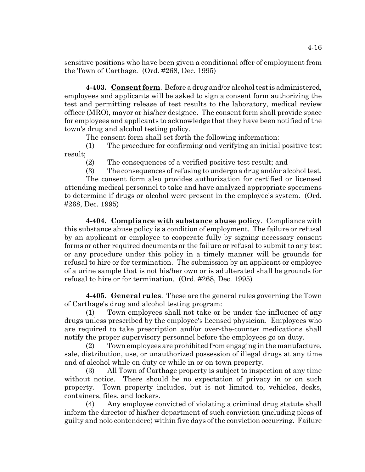sensitive positions who have been given a conditional offer of employment from the Town of Carthage. (Ord. #268, Dec. 1995)

**4-403. Consent form**. Before a drug and/or alcohol test is administered, employees and applicants will be asked to sign a consent form authorizing the test and permitting release of test results to the laboratory, medical review officer (MRO), mayor or his/her designee. The consent form shall provide space for employees and applicants to acknowledge that they have been notified of the town's drug and alcohol testing policy.

The consent form shall set forth the following information:

(1) The procedure for confirming and verifying an initial positive test result;

(2) The consequences of a verified positive test result; and

(3) The consequences of refusing to undergo a drug and/or alcohol test.

The consent form also provides authorization for certified or licensed attending medical personnel to take and have analyzed appropriate specimens to determine if drugs or alcohol were present in the employee's system. (Ord. #268, Dec. 1995)

**4-404. Compliance with substance abuse policy**. Compliance with this substance abuse policy is a condition of employment. The failure or refusal by an applicant or employee to cooperate fully by signing necessary consent forms or other required documents or the failure or refusal to submit to any test or any procedure under this policy in a timely manner will be grounds for refusal to hire or for termination. The submission by an applicant or employee of a urine sample that is not his/her own or is adulterated shall be grounds for refusal to hire or for termination. (Ord. #268, Dec. 1995)

**4-405. General rules**. These are the general rules governing the Town of Carthage's drug and alcohol testing program:

(1) Town employees shall not take or be under the influence of any drugs unless prescribed by the employee's licensed physician. Employees who are required to take prescription and/or over-the-counter medications shall notify the proper supervisory personnel before the employees go on duty.

(2) Town employees are prohibited from engaging in the manufacture, sale, distribution, use, or unauthorized possession of illegal drugs at any time and of alcohol while on duty or while in or on town property.

(3) All Town of Carthage property is subject to inspection at any time without notice. There should be no expectation of privacy in or on such property. Town property includes, but is not limited to, vehicles, desks, containers, files, and lockers.

(4) Any employee convicted of violating a criminal drug statute shall inform the director of his/her department of such conviction (including pleas of guilty and nolo contendere) within five days of the conviction occurring. Failure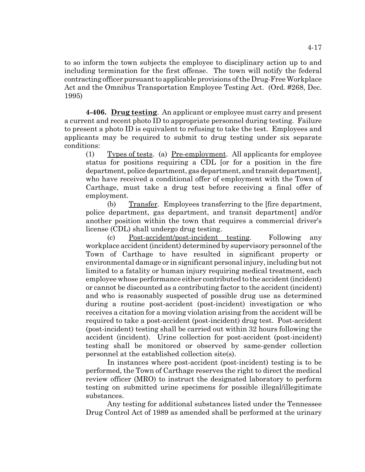to so inform the town subjects the employee to disciplinary action up to and including termination for the first offense. The town will notify the federal contracting officer pursuant to applicable provisions of the Drug-Free Workplace Act and the Omnibus Transportation Employee Testing Act. (Ord. #268, Dec. 1995)

**4-406. Drug testing**. An applicant or employee must carry and present a current and recent photo ID to appropriate personnel during testing. Failure to present a photo ID is equivalent to refusing to take the test. Employees and applicants may be required to submit to drug testing under six separate conditions:

(1) Types of tests. (a) Pre-employment. All applicants for employee status for positions requiring a CDL [or for a position in the fire department, police department, gas department, and transit department], who have received a conditional offer of employment with the Town of Carthage, must take a drug test before receiving a final offer of employment.

(b) Transfer. Employees transferring to the [fire department, police department, gas department, and transit department] and/or another position within the town that requires a commercial driver's license (CDL) shall undergo drug testing.

(c) Post-accident/post-incident testing. Following any workplace accident (incident) determined by supervisory personnel of the Town of Carthage to have resulted in significant property or environmental damage or in significant personal injury, including but not limited to a fatality or human injury requiring medical treatment, each employee whose performance either contributed to the accident (incident) or cannot be discounted as a contributing factor to the accident (incident) and who is reasonably suspected of possible drug use as determined during a routine post-accident (post-incident) investigation or who receives a citation for a moving violation arising from the accident will be required to take a post-accident (post-incident) drug test. Post-accident (post-incident) testing shall be carried out within 32 hours following the accident (incident). Urine collection for post-accident (post-incident) testing shall be monitored or observed by same-gender collection personnel at the established collection site(s).

In instances where post-accident (post-incident) testing is to be performed, the Town of Carthage reserves the right to direct the medical review officer (MRO) to instruct the designated laboratory to perform testing on submitted urine specimens for possible illegal/illegitimate substances.

Any testing for additional substances listed under the Tennessee Drug Control Act of 1989 as amended shall be performed at the urinary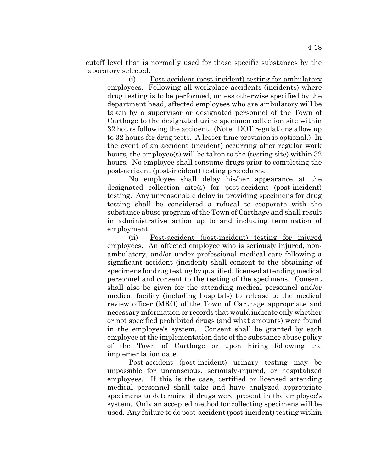cutoff level that is normally used for those specific substances by the laboratory selected.

(i) Post-accident (post-incident) testing for ambulatory employees. Following all workplace accidents (incidents) where drug testing is to be performed, unless otherwise specified by the department head, affected employees who are ambulatory will be taken by a supervisor or designated personnel of the Town of Carthage to the designated urine specimen collection site within 32 hours following the accident. (Note: DOT regulations allow up to 32 hours for drug tests. A lesser time provision is optional.) In the event of an accident (incident) occurring after regular work hours, the employee(s) will be taken to the (testing site) within 32 hours. No employee shall consume drugs prior to completing the post-accident (post-incident) testing procedures.

No employee shall delay his/her appearance at the designated collection site(s) for post-accident (post-incident) testing. Any unreasonable delay in providing specimens for drug testing shall be considered a refusal to cooperate with the substance abuse program of the Town of Carthage and shall result in administrative action up to and including termination of employment.

(ii) Post-accident (post-incident) testing for injured employees. An affected employee who is seriously injured, nonambulatory, and/or under professional medical care following a significant accident (incident) shall consent to the obtaining of specimens for drug testing by qualified, licensed attending medical personnel and consent to the testing of the specimens. Consent shall also be given for the attending medical personnel and/or medical facility (including hospitals) to release to the medical review officer (MRO) of the Town of Carthage appropriate and necessary information or records that would indicate only whether or not specified prohibited drugs (and what amounts) were found in the employee's system. Consent shall be granted by each employee at the implementation date of the substance abuse policy of the Town of Carthage or upon hiring following the implementation date.

Post-accident (post-incident) urinary testing may be impossible for unconscious, seriously-injured, or hospitalized employees. If this is the case, certified or licensed attending medical personnel shall take and have analyzed appropriate specimens to determine if drugs were present in the employee's system. Only an accepted method for collecting specimens will be used. Any failure to do post-accident (post-incident) testing within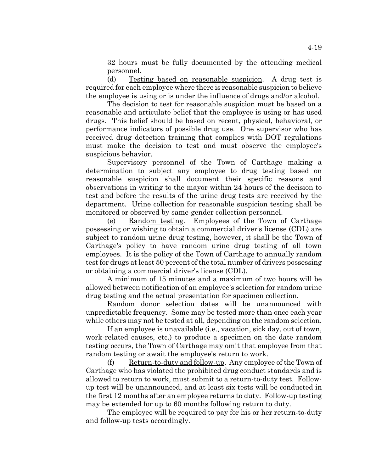32 hours must be fully documented by the attending medical personnel.

(d) Testing based on reasonable suspicion. A drug test is required for each employee where there is reasonable suspicion to believe the employee is using or is under the influence of drugs and/or alcohol.

The decision to test for reasonable suspicion must be based on a reasonable and articulate belief that the employee is using or has used drugs. This belief should be based on recent, physical, behavioral, or performance indicators of possible drug use. One supervisor who has received drug detection training that complies with DOT regulations must make the decision to test and must observe the employee's suspicious behavior.

Supervisory personnel of the Town of Carthage making a determination to subject any employee to drug testing based on reasonable suspicion shall document their specific reasons and observations in writing to the mayor within 24 hours of the decision to test and before the results of the urine drug tests are received by the department. Urine collection for reasonable suspicion testing shall be monitored or observed by same-gender collection personnel.

(e) Random testing. Employees of the Town of Carthage possessing or wishing to obtain a commercial driver's license (CDL) are subject to random urine drug testing, however, it shall be the Town of Carthage's policy to have random urine drug testing of all town employees. It is the policy of the Town of Carthage to annually random test for drugs at least 50 percent of the total number of drivers possessing or obtaining a commercial driver's license (CDL).

A minimum of 15 minutes and a maximum of two hours will be allowed between notification of an employee's selection for random urine drug testing and the actual presentation for specimen collection.

Random donor selection dates will be unannounced with unpredictable frequency. Some may be tested more than once each year while others may not be tested at all, depending on the random selection.

If an employee is unavailable (i.e., vacation, sick day, out of town, work-related causes, etc.) to produce a specimen on the date random testing occurs, the Town of Carthage may omit that employee from that random testing or await the employee's return to work.

(f) Return-to-duty and follow-up. Any employee of the Town of Carthage who has violated the prohibited drug conduct standards and is allowed to return to work, must submit to a return-to-duty test. Followup test will be unannounced, and at least six tests will be conducted in the first 12 months after an employee returns to duty. Follow-up testing may be extended for up to 60 months following return to duty.

The employee will be required to pay for his or her return-to-duty and follow-up tests accordingly.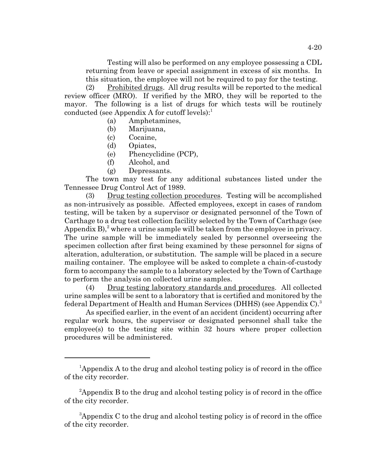Testing will also be performed on any employee possessing a CDL returning from leave or special assignment in excess of six months. In this situation, the employee will not be required to pay for the testing.

(2) Prohibited drugs. All drug results will be reported to the medical review officer (MRO). If verified by the MRO, they will be reported to the mayor. The following is a list of drugs for which tests will be routinely conducted (see Appendix A for cutoff levels): $<sup>1</sup>$ </sup>

- (a) Amphetamines,
- (b) Marijuana,
- (c) Cocaine,
- (d) Opiates,
- (e) Phencyclidine (PCP),
- (f) Alcohol, and
- (g) Depressants.

The town may test for any additional substances listed under the Tennessee Drug Control Act of 1989.

(3) Drug testing collection procedures. Testing will be accomplished as non-intrusively as possible. Affected employees, except in cases of random testing, will be taken by a supervisor or designated personnel of the Town of Carthage to a drug test collection facility selected by the Town of Carthage (see Appendix B $^{2}$ , where a urine sample will be taken from the employee in privacy. The urine sample will be immediately sealed by personnel overseeing the specimen collection after first being examined by these personnel for signs of alteration, adulteration, or substitution. The sample will be placed in a secure mailing container. The employee will be asked to complete a chain-of-custody form to accompany the sample to a laboratory selected by the Town of Carthage to perform the analysis on collected urine samples.

(4) Drug testing laboratory standards and procedures. All collected urine samples will be sent to a laboratory that is certified and monitored by the federal Department of Health and Human Services (DHHS) (see Appendix C).<sup>3</sup>

As specified earlier, in the event of an accident (incident) occurring after regular work hours, the supervisor or designated personnel shall take the employee(s) to the testing site within 32 hours where proper collection procedures will be administered.

<sup>&</sup>lt;sup>1</sup>Appendix A to the drug and alcohol testing policy is of record in the office of the city recorder.

<sup>&</sup>lt;sup>2</sup>Appendix B to the drug and alcohol testing policy is of record in the office of the city recorder.

<sup>&</sup>lt;sup>3</sup>Appendix C to the drug and alcohol testing policy is of record in the office of the city recorder.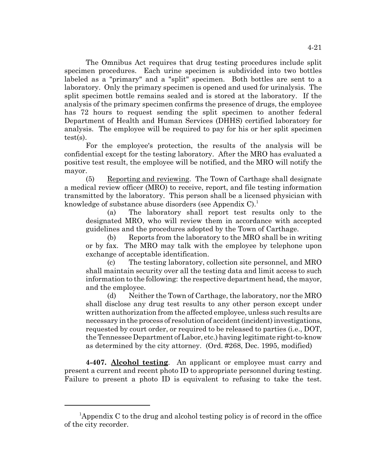The Omnibus Act requires that drug testing procedures include split specimen procedures. Each urine specimen is subdivided into two bottles labeled as a "primary" and a "split" specimen. Both bottles are sent to a laboratory. Only the primary specimen is opened and used for urinalysis. The split specimen bottle remains sealed and is stored at the laboratory. If the analysis of the primary specimen confirms the presence of drugs, the employee has 72 hours to request sending the split specimen to another federal Department of Health and Human Services (DHHS) certified laboratory for analysis. The employee will be required to pay for his or her split specimen test(s).

For the employee's protection, the results of the analysis will be confidential except for the testing laboratory. After the MRO has evaluated a positive test result, the employee will be notified, and the MRO will notify the mayor.

(5) Reporting and reviewing. The Town of Carthage shall designate a medical review officer (MRO) to receive, report, and file testing information transmitted by the laboratory. This person shall be a licensed physician with knowledge of substance abuse disorders (see Appendix C).<sup>1</sup>

(a) The laboratory shall report test results only to the designated MRO, who will review them in accordance with accepted guidelines and the procedures adopted by the Town of Carthage.

(b) Reports from the laboratory to the MRO shall be in writing or by fax. The MRO may talk with the employee by telephone upon exchange of acceptable identification.

(c) The testing laboratory, collection site personnel, and MRO shall maintain security over all the testing data and limit access to such information to the following: the respective department head, the mayor, and the employee.

(d) Neither the Town of Carthage, the laboratory, nor the MRO shall disclose any drug test results to any other person except under written authorization from the affected employee, unless such results are necessary in the process of resolution of accident (incident) investigations, requested by court order, or required to be released to parties (i.e., DOT, the Tennessee Department of Labor, etc.) having legitimate right-to-know as determined by the city attorney. (Ord. #268, Dec. 1995, modified)

**4-407. Alcohol testing**. An applicant or employee must carry and present a current and recent photo ID to appropriate personnel during testing. Failure to present a photo ID is equivalent to refusing to take the test.

<sup>&</sup>lt;sup>1</sup>Appendix C to the drug and alcohol testing policy is of record in the office of the city recorder.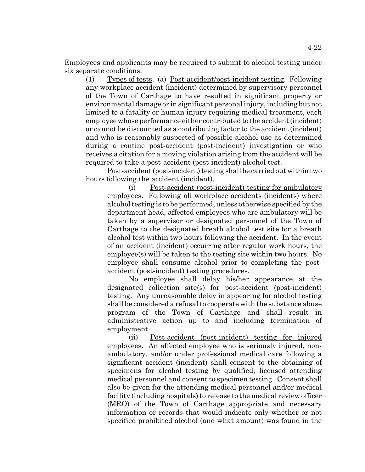Employees and applicants may be required to submit to alcohol testing under six separate conditions:

(1) Types of tests. (a) Post-accident/post-incident testing. Following any workplace accident (incident) determined by supervisory personnel of the Town of Carthage to have resulted in significant property or environmental damage or in significant personal injury, including but not limited to a fatality or human injury requiring medical treatment, each employee whose performance either contributed to the accident (incident) or cannot be discounted as a contributing factor to the accident (incident) and who is reasonably suspected of possible alcohol use as determined during a routine post-accident (post-incident) investigation or who receives a citation for a moving violation arising from the accident will be required to take a post-accident (post-incident) alcohol test.

Post-accident (post-incident) testing shall be carried out within two hours following the accident (incident).

(i) Post-accident (post-incident) testing for ambulatory employees. Following all workplace accidents (incidents) where alcohol testing is to be performed, unless otherwise specified by the department head, affected employees who are ambulatory will be taken by a supervisor or designated personnel of the Town of Carthage to the designated breath alcohol test site for a breath alcohol test within two hours following the accident. In the event of an accident (incident) occurring after regular work hours, the employee(s) will be taken to the testing site within two hours. No employee shall consume alcohol prior to completing the postaccident (post-incident) testing procedures.

No employee shall delay his/her appearance at the designated collection site(s) for post-accident (post-incident) testing. Any unreasonable delay in appearing for alcohol testing shall be considered a refusal to cooperate with the substance abuse program of the Town of Carthage and shall result in administrative action up to and including termination of employment.

(ii) Post-accident (post-incident) testing for injured employees. An affected employee who is seriously injured, nonambulatory, and/or under professional medical care following a significant accident (incident) shall consent to the obtaining of specimens for alcohol testing by qualified, licensed attending medical personnel and consent to specimen testing. Consent shall also be given for the attending medical personnel and/or medical facility (including hospitals) to release to the medical review officer (MRO) of the Town of Carthage appropriate and necessary information or records that would indicate only whether or not specified prohibited alcohol (and what amount) was found in the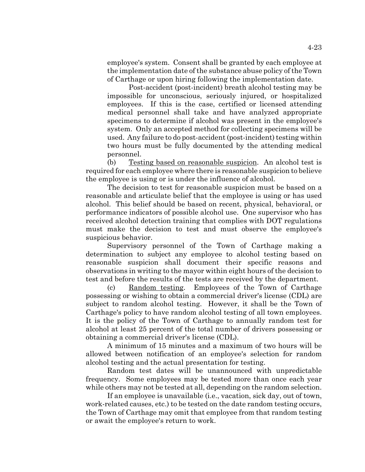employee's system. Consent shall be granted by each employee at the implementation date of the substance abuse policy of the Town of Carthage or upon hiring following the implementation date.

Post-accident (post-incident) breath alcohol testing may be impossible for unconscious, seriously injured, or hospitalized employees. If this is the case, certified or licensed attending medical personnel shall take and have analyzed appropriate specimens to determine if alcohol was present in the employee's system. Only an accepted method for collecting specimens will be used. Any failure to do post-accident (post-incident) testing within two hours must be fully documented by the attending medical personnel.

(b) Testing based on reasonable suspicion. An alcohol test is required for each employee where there is reasonable suspicion to believe the employee is using or is under the influence of alcohol.

The decision to test for reasonable suspicion must be based on a reasonable and articulate belief that the employee is using or has used alcohol. This belief should be based on recent, physical, behavioral, or performance indicators of possible alcohol use. One supervisor who has received alcohol detection training that complies with DOT regulations must make the decision to test and must observe the employee's suspicious behavior.

Supervisory personnel of the Town of Carthage making a determination to subject any employee to alcohol testing based on reasonable suspicion shall document their specific reasons and observations in writing to the mayor within eight hours of the decision to test and before the results of the tests are received by the department.

(c) Random testing. Employees of the Town of Carthage possessing or wishing to obtain a commercial driver's license (CDL) are subject to random alcohol testing. However, it shall be the Town of Carthage's policy to have random alcohol testing of all town employees. It is the policy of the Town of Carthage to annually random test for alcohol at least 25 percent of the total number of drivers possessing or obtaining a commercial driver's license (CDL).

A minimum of 15 minutes and a maximum of two hours will be allowed between notification of an employee's selection for random alcohol testing and the actual presentation for testing.

Random test dates will be unannounced with unpredictable frequency. Some employees may be tested more than once each year while others may not be tested at all, depending on the random selection.

If an employee is unavailable (i.e., vacation, sick day, out of town, work-related causes, etc.) to be tested on the date random testing occurs, the Town of Carthage may omit that employee from that random testing or await the employee's return to work.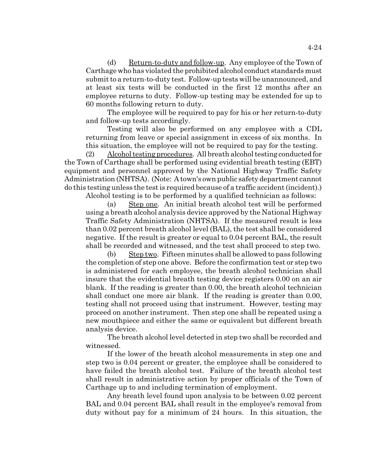(d) Return-to-duty and follow-up. Any employee of the Town of Carthage who has violated the prohibited alcohol conduct standards must submit to a return-to-duty test. Follow-up tests will be unannounced, and at least six tests will be conducted in the first 12 months after an employee returns to duty. Follow-up testing may be extended for up to 60 months following return to duty.

The employee will be required to pay for his or her return-to-duty and follow-up tests accordingly.

Testing will also be performed on any employee with a CDL returning from leave or special assignment in excess of six months. In this situation, the employee will not be required to pay for the testing.

(2) Alcohol testing procedures. All breath alcohol testing conducted for the Town of Carthage shall be performed using evidential breath testing (EBT) equipment and personnel approved by the National Highway Traffic Safety Administration (NHTSA). (Note: A town's own public safety department cannot do this testing unless the test is required because of a traffic accident (incident).) Alcohol testing is to be performed by a qualified technician as follows:

(a) Step one. An initial breath alcohol test will be performed using a breath alcohol analysis device approved by the National Highway Traffic Safety Administration (NHTSA). If the measured result is less than 0.02 percent breath alcohol level (BAL), the test shall be considered negative. If the result is greater or equal to 0.04 percent BAL, the result shall be recorded and witnessed, and the test shall proceed to step two.

(b) Step two. Fifteen minutes shall be allowed to pass following the completion of step one above. Before the confirmation test or step two is administered for each employee, the breath alcohol technician shall insure that the evidential breath testing device registers 0.00 on an air blank. If the reading is greater than 0.00, the breath alcohol technician shall conduct one more air blank. If the reading is greater than 0.00, testing shall not proceed using that instrument. However, testing may proceed on another instrument. Then step one shall be repeated using a new mouthpiece and either the same or equivalent but different breath analysis device.

The breath alcohol level detected in step two shall be recorded and witnessed.

If the lower of the breath alcohol measurements in step one and step two is 0.04 percent or greater, the employee shall be considered to have failed the breath alcohol test. Failure of the breath alcohol test shall result in administrative action by proper officials of the Town of Carthage up to and including termination of employment.

Any breath level found upon analysis to be between 0.02 percent BAL and 0.04 percent BAL shall result in the employee's removal from duty without pay for a minimum of 24 hours. In this situation, the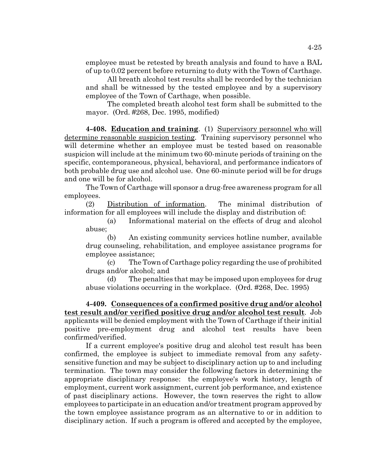employee must be retested by breath analysis and found to have a BAL of up to 0.02 percent before returning to duty with the Town of Carthage.

All breath alcohol test results shall be recorded by the technician and shall be witnessed by the tested employee and by a supervisory employee of the Town of Carthage, when possible.

The completed breath alcohol test form shall be submitted to the mayor. (Ord. #268, Dec. 1995, modified)

**4-408. Education and training**. (1) Supervisory personnel who will determine reasonable suspicion testing. Training supervisory personnel who will determine whether an employee must be tested based on reasonable suspicion will include at the minimum two 60-minute periods of training on the specific, contemporaneous, physical, behavioral, and performance indicators of both probable drug use and alcohol use. One 60-minute period will be for drugs and one will be for alcohol.

The Town of Carthage will sponsor a drug-free awareness program for all employees.

(2) Distribution of information. The minimal distribution of information for all employees will include the display and distribution of:

(a) Informational material on the effects of drug and alcohol abuse;

(b) An existing community services hotline number, available drug counseling, rehabilitation, and employee assistance programs for employee assistance;

(c) The Town of Carthage policy regarding the use of prohibited drugs and/or alcohol; and

(d) The penalties that may be imposed upon employees for drug abuse violations occurring in the workplace. (Ord. #268, Dec. 1995)

**4-409. Consequences of a confirmed positive drug and/or alcohol test result and/or verified positive drug and/or alcohol test result**. Job applicants will be denied employment with the Town of Carthage if their initial positive pre-employment drug and alcohol test results have been confirmed/verified.

If a current employee's positive drug and alcohol test result has been confirmed, the employee is subject to immediate removal from any safetysensitive function and may be subject to disciplinary action up to and including termination. The town may consider the following factors in determining the appropriate disciplinary response: the employee's work history, length of employment, current work assignment, current job performance, and existence of past disciplinary actions. However, the town reserves the right to allow employees to participate in an education and/or treatment program approved by the town employee assistance program as an alternative to or in addition to disciplinary action. If such a program is offered and accepted by the employee,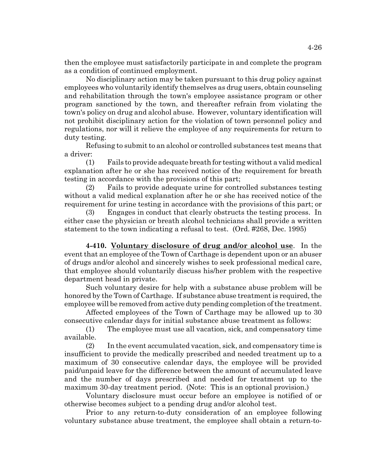then the employee must satisfactorily participate in and complete the program as a condition of continued employment.

No disciplinary action may be taken pursuant to this drug policy against employees who voluntarily identify themselves as drug users, obtain counseling and rehabilitation through the town's employee assistance program or other program sanctioned by the town, and thereafter refrain from violating the town's policy on drug and alcohol abuse. However, voluntary identification will not prohibit disciplinary action for the violation of town personnel policy and regulations, nor will it relieve the employee of any requirements for return to duty testing.

Refusing to submit to an alcohol or controlled substances test means that a driver:

(1) Fails to provide adequate breath for testing without a valid medical explanation after he or she has received notice of the requirement for breath testing in accordance with the provisions of this part;

(2) Fails to provide adequate urine for controlled substances testing without a valid medical explanation after he or she has received notice of the requirement for urine testing in accordance with the provisions of this part; or

(3) Engages in conduct that clearly obstructs the testing process. In either case the physician or breath alcohol technicians shall provide a written statement to the town indicating a refusal to test. (Ord. #268, Dec. 1995)

**4-410. Voluntary disclosure of drug and/or alcohol use**. In the event that an employee of the Town of Carthage is dependent upon or an abuser of drugs and/or alcohol and sincerely wishes to seek professional medical care, that employee should voluntarily discuss his/her problem with the respective department head in private.

Such voluntary desire for help with a substance abuse problem will be honored by the Town of Carthage. If substance abuse treatment is required, the employee will be removed from active duty pending completion of the treatment.

Affected employees of the Town of Carthage may be allowed up to 30 consecutive calendar days for initial substance abuse treatment as follows:

(1) The employee must use all vacation, sick, and compensatory time available.

(2) In the event accumulated vacation, sick, and compensatory time is insufficient to provide the medically prescribed and needed treatment up to a maximum of 30 consecutive calendar days, the employee will be provided paid/unpaid leave for the difference between the amount of accumulated leave and the number of days prescribed and needed for treatment up to the maximum 30-day treatment period. (Note: This is an optional provision.)

Voluntary disclosure must occur before an employee is notified of or otherwise becomes subject to a pending drug and/or alcohol test.

Prior to any return-to-duty consideration of an employee following voluntary substance abuse treatment, the employee shall obtain a return-to-